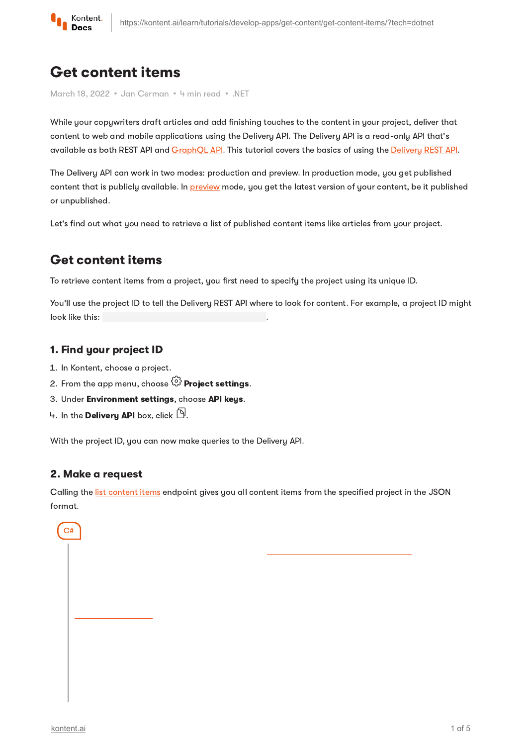

# Get content items

March 18, 2022 · Jan Cerman · 4 min read · .NET

While your copywriters draft articles and add finishing touches to the content in your project, deliver that content to web and mobile applications using the Delivery API. The Delivery API is a read-only API that's available as both REST API and [GraphQL](https://kontent.ai/learn/reference/delivery-graphql-api/) API. This tutorial covers the basics of using the [Delivery](https://kontent.ai/learn/reference/delivery-api/) REST API.

The Delivery API can work in two modes: production and preview. In production mode, you get published content that is publicly available. In [preview](https://kontent.ai/learn/tutorials/develop-apps/build-strong-foundation/set-up-editing-from-preview/) mode, you get the latest version of your content, be it published or unpublished.

Let's find out what you need to retrieve a list of published content items like articles from your project.

# Get content items

To retrieve content items from a project, you first need to specify the project using its unique ID.

You'll use the project ID to tell the Delivery REST API where to look for content. For example, a project ID might<br>look like this:<br>**1. Find your project ID**<br>1. In Kontent, choose a project.<br>2. From the app menu, choose  $\big$ look like this:

### 1. Find your project ID

- 1. In Kontent, choose a project.
- 2. From the app menu, choose  $\stackrel{\leftrightarrow}{\omega}$  Proiect settings.
- 3. Under Environment settings, choose API keys.
- 4. In the Delivery API box, click  $\mathbb{D}$ .

With the project ID, you can now make queries to the Delivery API.

## 2. Make a request

Calling the list [content](https://kontent.ai/learn/reference/delivery-api/#operation/list-content-items) items endpoint gives you all content items from the specified project in the JSON format.

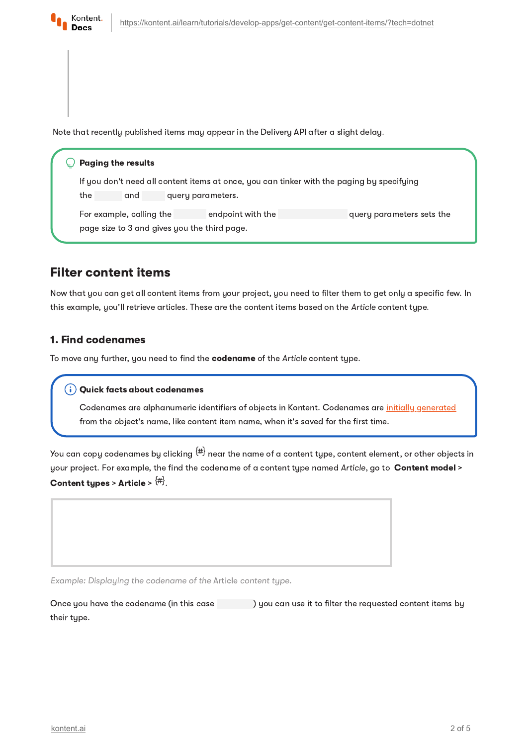

Note that recently published items may appear in the Delivery API after a slight delay.

#### $\bigcirc$  Paging the results

If you don't need all content items at once, you can tinker with the paging by specifying the and query parameters.

For example, calling the endpoint with the query parameters sets the page size to 3 and gives you the third page.

## Filter content items

Now that you can get all content items from your project, you need to filter them to get only a specific few. In this example, you'll retrieve articles. These are the content items based on the Article content type.

### 1. Find codenames

To move any further, you need to find the codename of the Article content type.

Codenames are alphanumeric identifiers of objects in Kontent. Codenames are initially [generated](https://kontent.ai/learn/tutorials/manage-kontent/content-modeling/create-and-delete-content-types/#a-edit-codenames) from the object's name, like content item name, when it's saved for the first time.

You can copu codenames bu clicking  $^{\text{\tiny (\#)}}$  near the name of a content tupe, content element, or other objects in your project. For example, the find the codename of a content type named Article, go to Content model > Content types > Article >  $\{ \pm \}$ . **Quick facts about codenames**<br>Codenames are alphanumeric id<br>from the object's name, like cont<br>apply codenames by clicking  $\frac{1}{2}$ <br>oject. For example, the find the c<br>it tupes > Article >  $\frac{1}{2}$ .

Example: Displaying the codename of the Article content type.

Once you have the codename (in this case ) you can use it to filter the requested content items by their type.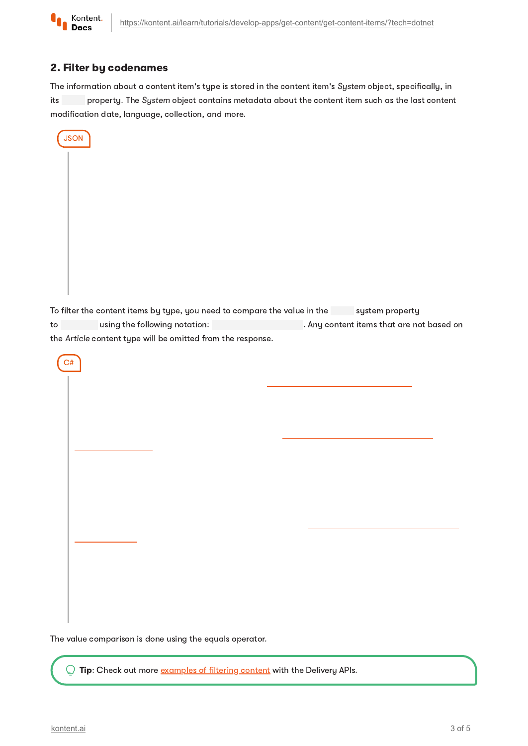

## 2. Filter by codenames

The information about a content item's type is stored in the content item's System object, specifically, in its property. The System object contains metadata about the content item such as the last content modification date, language, collection, and more.

|  | <b>JSON</b> |  |
|--|-------------|--|
|  |             |  |
|  |             |  |
|  |             |  |
|  |             |  |
|  |             |  |
|  |             |  |
|  |             |  |
|  |             |  |
|  |             |  |

To filter the content items by type, you need to compare the value in the system property to using the following notation: . Any content items that are not based on the Article content type will be omitted from the response.

C#

The value comparison is done using the equals operator.

**Tip:** Check out more [examples](https://kontent.ai/learn/tutorials/develop-apps/get-content/filter-content-items-examples/) of filtering content with the Delivery APIs.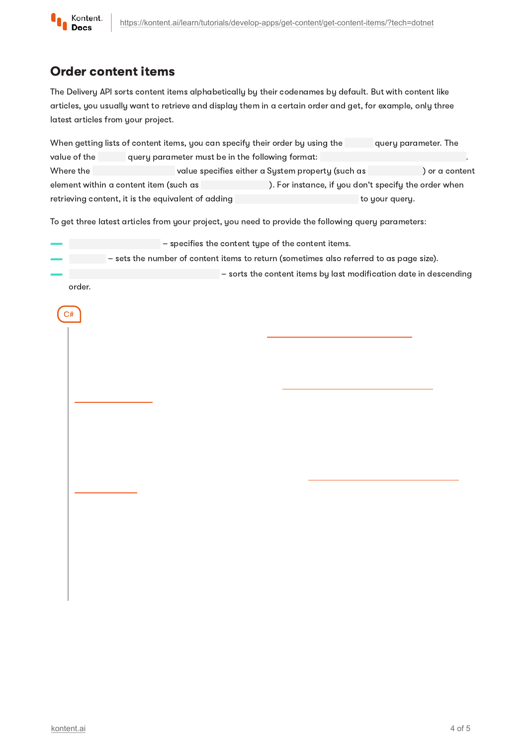

# Order content items

The Delivery API sorts content items alphabetically by their codenames by default. But with content like articles, you usually want to retrieve and display them in a certain order and get, for example, only three latest articles from your project.

When getting lists of content items, you can specify their order by using the query parameter. The value of the query parameter must be in the following format: Where the value specifies either a System property (such as ) or a content element within a content item (such as ). For instance, if you don't specify the order when retrieving content, it is the equivalent of adding the state of the your query.

To get three latest articles from your project, you need to provide the following query parameters:

| $-$ specifies the content type of the content items.                                    |
|-----------------------------------------------------------------------------------------|
| - sets the number of content items to return (sometimes also referred to as page size). |
| $-$ sorts the content items by last modification date in descending                     |

order.

 $C#$